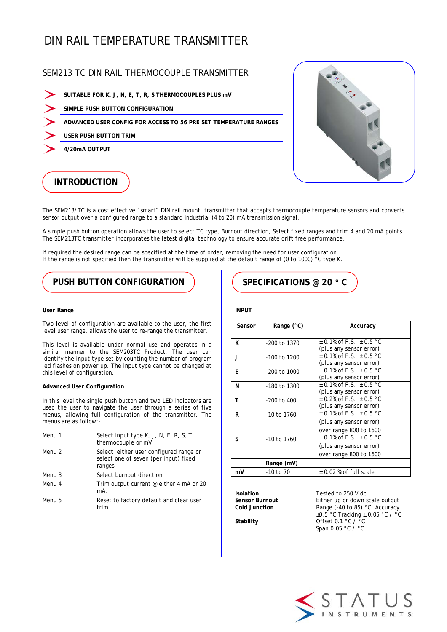# DIN RAIL TEMPERATURE TRANSMITTER

## SEM213 TC DIN RAIL THERMOCOUPLE TRANSMITTER

- **SUITABLE FOR K, J, N, E, T, R, S THERMOCOUPLES PLUS mV**
- **SIMPLE PUSH BUTTON CONFIGURATION**
- **ADVANCED USER CONFIG FOR ACCESS TO 56 PRE SET TEMPERATURE RANGES**
- **USER PUSH BUTTON TRIM**
	- **4/20mA OUTPUT**



## **INTRODUCTION**

The SEM213/TC is a cost effective "smart" DIN rail mount transmitter that accepts thermocouple temperature sensors and converts sensor output over a configured range to a standard industrial (4 to 20) mA transmission signal.

A simple push button operation allows the user to select TC type, Burnout direction, Select fixed ranges and trim 4 and 20 mA points. The SEM213TC transmitter incorporates the latest digital technology to ensure accurate drift free performance.

If required the desired range can be specified at the time of order, removing the need for user configuration. If the range is not specified then the transmitter will be supplied at the default range of (0 to 1000) °C type K.

## **PUSH BUTTON CONFIGURATION**  $\left| \right|$  ( SPECIFICATIONS @ 20 ° C

### **User Range**

Two level of configuration are available to the user, the first level user range, allows the user to re-range the transmitter.

This level is available under normal use and operates in a similar manner to the SEM203TC Product. The user can identify the input type set by counting the number of program led flashes on power up. The input type cannot be changed at this level of configuration.

### **Advanced User Configuration**

In this level the single push button and two LED indicators are used the user to navigate the user through a series of five menus, allowing full configuration of the transmitter. The menus are as follow:-

| Menu 1 | Select Input type K, J, N, E, R, S, T<br>thermocouple or mV                               |
|--------|-------------------------------------------------------------------------------------------|
| Menu 2 | Select either user configured range or<br>select one of seven (per input) fixed<br>ranges |
| Menu 3 | Select burnout direction                                                                  |
| Menu 4 | Trim output current @ either 4 mA or 20<br>mA.                                            |
| Menu 5 | Reset to factory default and clear user<br>trim                                           |

### **INPUT**

| Sensor | Range $(°C)$     | Accuracy                                                                             |
|--------|------------------|--------------------------------------------------------------------------------------|
| ĸ      | -200 to 1370     | $\pm$ 0.1% of F.S. $\pm$ 0.5 °C<br>(plus any sensor error)                           |
| - 1    | -100 to 1200     | $\pm$ 0.1% of F.S. $\pm$ 0.5 °C<br>(plus any sensor error)                           |
| F      | $-200$ to $1000$ | $\pm$ 0.1% of F.S. $\pm$ 0.5 °C<br>(plus any sensor error)                           |
| N      | -180 to 1300     | $\pm$ 0.1% of F.S. $\pm$ 0.5 °C<br>(plus any sensor error)                           |
| т      | $-200$ to $400$  | $\pm$ 0.2% of F.S. $\pm$ 0.5 °C<br>(plus any sensor error)                           |
| R      | -10 to 1760      | $\pm$ 0.1% of F.S. $\pm$ 0.5 °C<br>(plus any sensor error)<br>over range 800 to 1600 |
| S      | $-10$ to $1760$  | $\pm$ 0.1% of F.S. $\pm$ 0.5 °C<br>(plus any sensor error)<br>over range 800 to 1600 |
|        | Range (mV)       |                                                                                      |
| mV     | -10 to 70        | $\pm$ 0.02 % of full scale                                                           |

**Isolation** Tested to 250 V dc<br> **Sensor Burnout** Fither up or down s **Sensor Burnout** Either up or down scale output<br>
Cold Junction **Example 140** Range (-40 to 85) °C: Accuracy Range (-40 to 85) °C; Accuracy ±0.5 °C Tracking ± 0.05 °C / °C **Stability Offset 0.1 °C / °C** Span 0.05 °C / °C